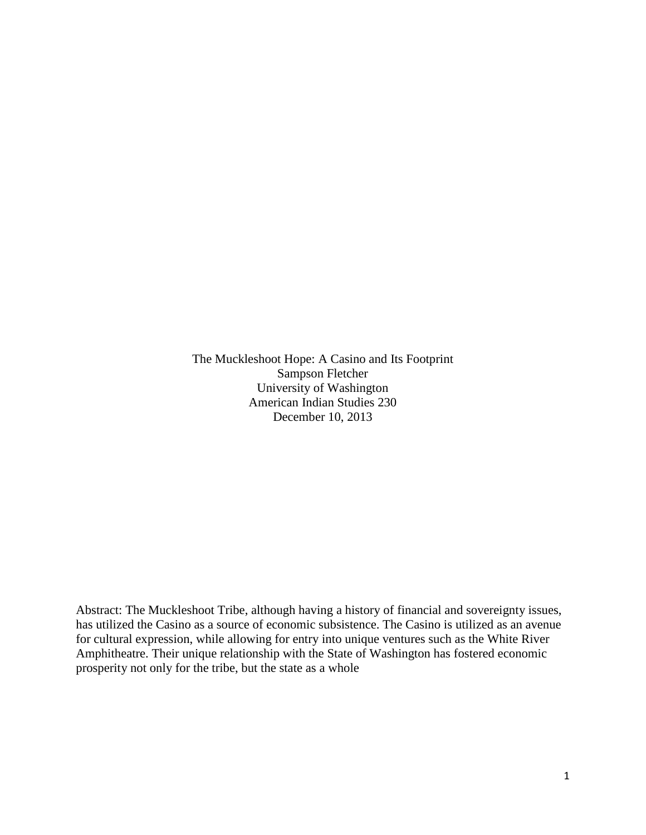The Muckleshoot Hope: A Casino and Its Footprint Sampson Fletcher University of Washington American Indian Studies 230 December 10, 2013

Abstract: The Muckleshoot Tribe, although having a history of financial and sovereignty issues, has utilized the Casino as a source of economic subsistence. The Casino is utilized as an avenue for cultural expression, while allowing for entry into unique ventures such as the White River Amphitheatre. Their unique relationship with the State of Washington has fostered economic prosperity not only for the tribe, but the state as a whole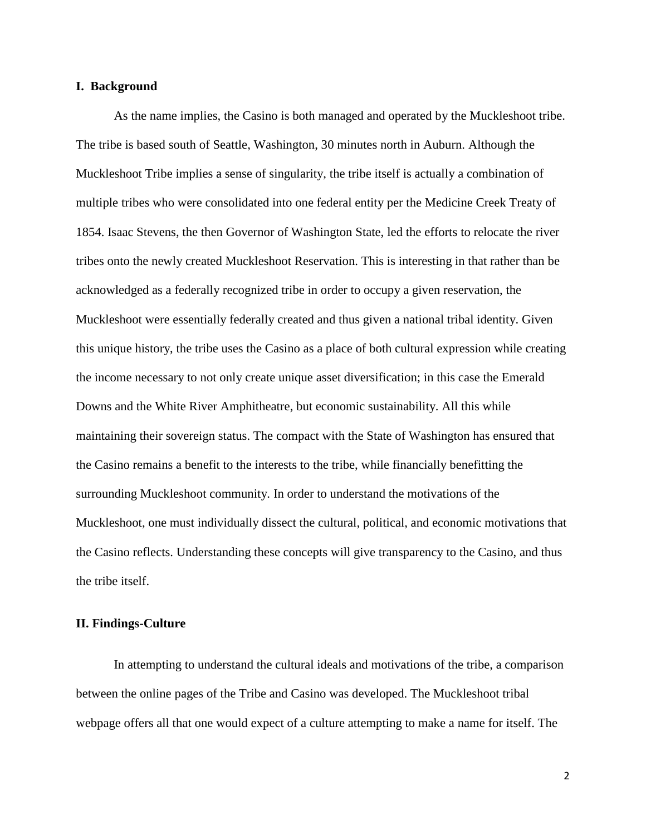### **I. Background**

As the name implies, the Casino is both managed and operated by the Muckleshoot tribe. The tribe is based south of Seattle, Washington, 30 minutes north in Auburn. Although the Muckleshoot Tribe implies a sense of singularity, the tribe itself is actually a combination of multiple tribes who were consolidated into one federal entity per the Medicine Creek Treaty of 1854. Isaac Stevens, the then Governor of Washington State, led the efforts to relocate the river tribes onto the newly created Muckleshoot Reservation. This is interesting in that rather than be acknowledged as a federally recognized tribe in order to occupy a given reservation, the Muckleshoot were essentially federally created and thus given a national tribal identity. Given this unique history, the tribe uses the Casino as a place of both cultural expression while creating the income necessary to not only create unique asset diversification; in this case the Emerald Downs and the White River Amphitheatre, but economic sustainability. All this while maintaining their sovereign status. The compact with the State of Washington has ensured that the Casino remains a benefit to the interests to the tribe, while financially benefitting the surrounding Muckleshoot community. In order to understand the motivations of the Muckleshoot, one must individually dissect the cultural, political, and economic motivations that the Casino reflects. Understanding these concepts will give transparency to the Casino, and thus the tribe itself.

## **II. Findings-Culture**

In attempting to understand the cultural ideals and motivations of the tribe, a comparison between the online pages of the Tribe and Casino was developed. The Muckleshoot tribal webpage offers all that one would expect of a culture attempting to make a name for itself. The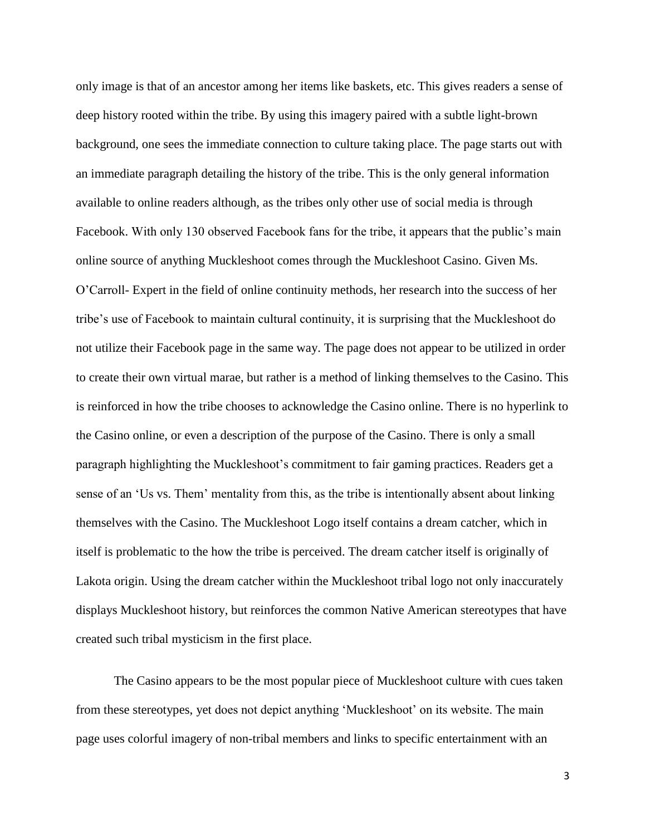only image is that of an ancestor among her items like baskets, etc. This gives readers a sense of deep history rooted within the tribe. By using this imagery paired with a subtle light-brown background, one sees the immediate connection to culture taking place. The page starts out with an immediate paragraph detailing the history of the tribe. This is the only general information available to online readers although, as the tribes only other use of social media is through Facebook. With only 130 observed Facebook fans for the tribe, it appears that the public's main online source of anything Muckleshoot comes through the Muckleshoot Casino. Given Ms. O"Carroll- Expert in the field of online continuity methods, her research into the success of her tribe"s use of Facebook to maintain cultural continuity, it is surprising that the Muckleshoot do not utilize their Facebook page in the same way. The page does not appear to be utilized in order to create their own virtual marae, but rather is a method of linking themselves to the Casino. This is reinforced in how the tribe chooses to acknowledge the Casino online. There is no hyperlink to the Casino online, or even a description of the purpose of the Casino. There is only a small paragraph highlighting the Muckleshoot"s commitment to fair gaming practices. Readers get a sense of an "Us vs. Them" mentality from this, as the tribe is intentionally absent about linking themselves with the Casino. The Muckleshoot Logo itself contains a dream catcher, which in itself is problematic to the how the tribe is perceived. The dream catcher itself is originally of Lakota origin. Using the dream catcher within the Muckleshoot tribal logo not only inaccurately displays Muckleshoot history, but reinforces the common Native American stereotypes that have created such tribal mysticism in the first place.

The Casino appears to be the most popular piece of Muckleshoot culture with cues taken from these stereotypes, yet does not depict anything "Muckleshoot" on its website. The main page uses colorful imagery of non-tribal members and links to specific entertainment with an

3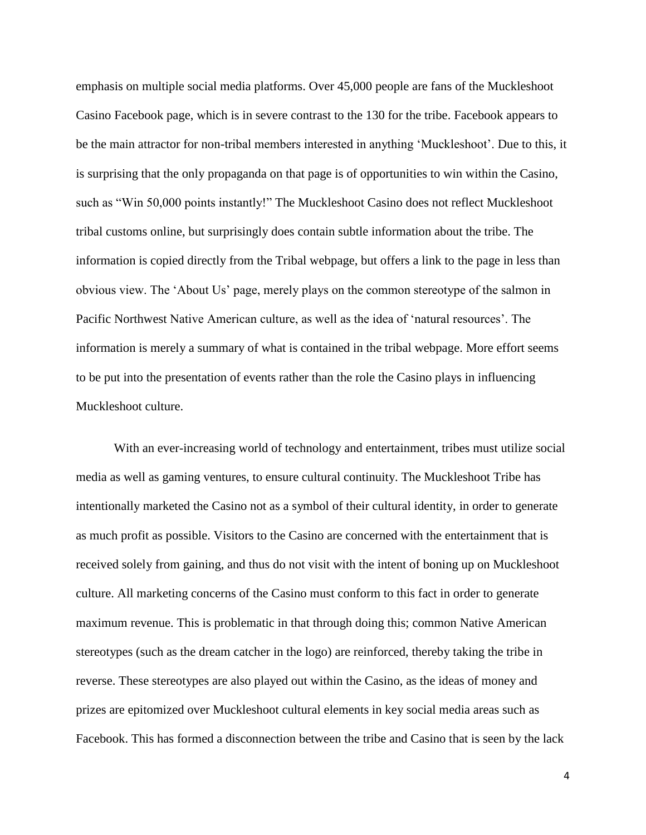emphasis on multiple social media platforms. Over 45,000 people are fans of the Muckleshoot Casino Facebook page, which is in severe contrast to the 130 for the tribe. Facebook appears to be the main attractor for non-tribal members interested in anything "Muckleshoot". Due to this, it is surprising that the only propaganda on that page is of opportunities to win within the Casino, such as "Win 50,000 points instantly!" The Muckleshoot Casino does not reflect Muckleshoot tribal customs online, but surprisingly does contain subtle information about the tribe. The information is copied directly from the Tribal webpage, but offers a link to the page in less than obvious view. The "About Us" page, merely plays on the common stereotype of the salmon in Pacific Northwest Native American culture, as well as the idea of "natural resources". The information is merely a summary of what is contained in the tribal webpage. More effort seems to be put into the presentation of events rather than the role the Casino plays in influencing Muckleshoot culture.

With an ever-increasing world of technology and entertainment, tribes must utilize social media as well as gaming ventures, to ensure cultural continuity. The Muckleshoot Tribe has intentionally marketed the Casino not as a symbol of their cultural identity, in order to generate as much profit as possible. Visitors to the Casino are concerned with the entertainment that is received solely from gaining, and thus do not visit with the intent of boning up on Muckleshoot culture. All marketing concerns of the Casino must conform to this fact in order to generate maximum revenue. This is problematic in that through doing this; common Native American stereotypes (such as the dream catcher in the logo) are reinforced, thereby taking the tribe in reverse. These stereotypes are also played out within the Casino, as the ideas of money and prizes are epitomized over Muckleshoot cultural elements in key social media areas such as Facebook. This has formed a disconnection between the tribe and Casino that is seen by the lack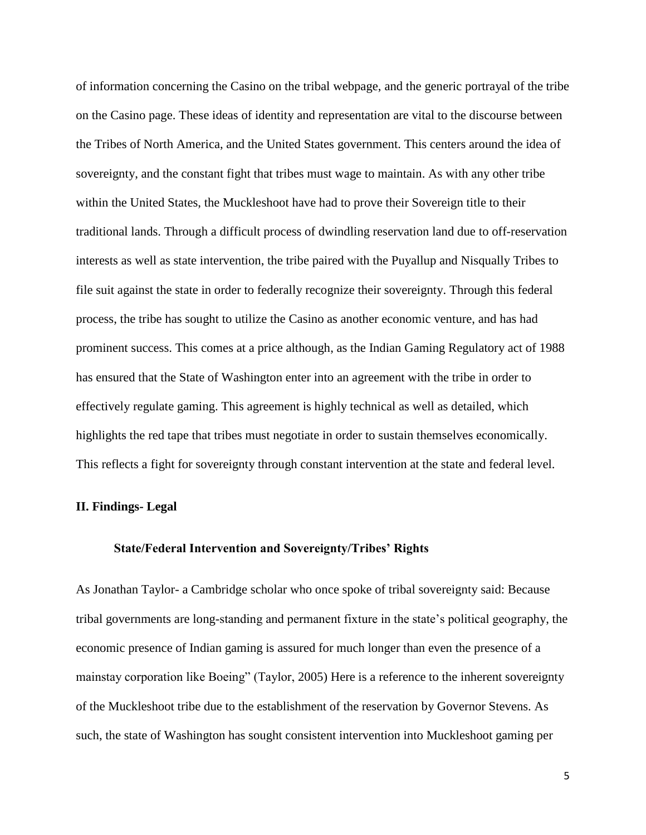of information concerning the Casino on the tribal webpage, and the generic portrayal of the tribe on the Casino page. These ideas of identity and representation are vital to the discourse between the Tribes of North America, and the United States government. This centers around the idea of sovereignty, and the constant fight that tribes must wage to maintain. As with any other tribe within the United States, the Muckleshoot have had to prove their Sovereign title to their traditional lands. Through a difficult process of dwindling reservation land due to off-reservation interests as well as state intervention, the tribe paired with the Puyallup and Nisqually Tribes to file suit against the state in order to federally recognize their sovereignty. Through this federal process, the tribe has sought to utilize the Casino as another economic venture, and has had prominent success. This comes at a price although, as the Indian Gaming Regulatory act of 1988 has ensured that the State of Washington enter into an agreement with the tribe in order to effectively regulate gaming. This agreement is highly technical as well as detailed, which highlights the red tape that tribes must negotiate in order to sustain themselves economically. This reflects a fight for sovereignty through constant intervention at the state and federal level.

## **II. Findings- Legal**

#### **State/Federal Intervention and Sovereignty/Tribes' Rights**

As Jonathan Taylor- a Cambridge scholar who once spoke of tribal sovereignty said: Because tribal governments are long-standing and permanent fixture in the state"s political geography, the economic presence of Indian gaming is assured for much longer than even the presence of a mainstay corporation like Boeing" (Taylor, 2005) Here is a reference to the inherent sovereignty of the Muckleshoot tribe due to the establishment of the reservation by Governor Stevens. As such, the state of Washington has sought consistent intervention into Muckleshoot gaming per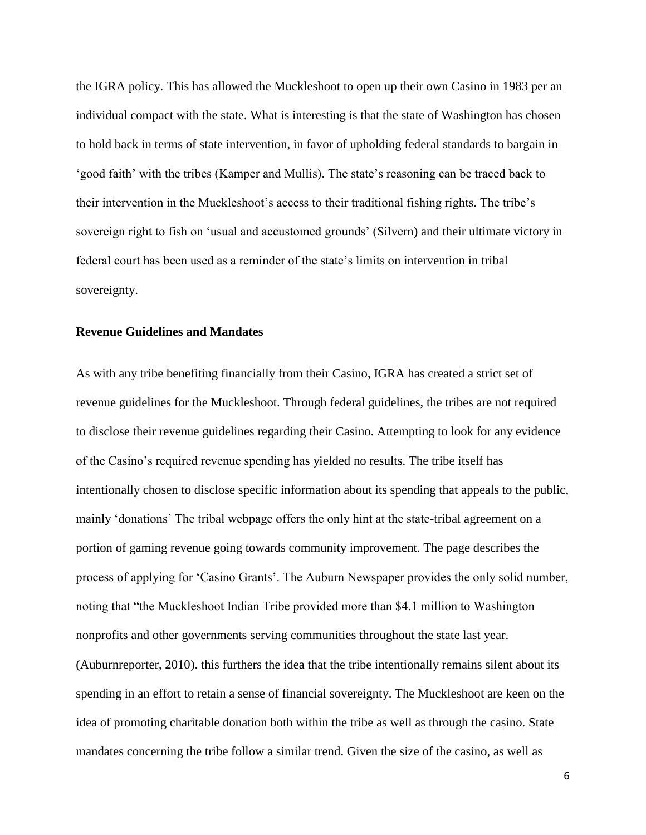the IGRA policy. This has allowed the Muckleshoot to open up their own Casino in 1983 per an individual compact with the state. What is interesting is that the state of Washington has chosen to hold back in terms of state intervention, in favor of upholding federal standards to bargain in 'good faith' with the tribes (Kamper and Mullis). The state's reasoning can be traced back to their intervention in the Muckleshoot's access to their traditional fishing rights. The tribe's sovereign right to fish on 'usual and accustomed grounds' (Silvern) and their ultimate victory in federal court has been used as a reminder of the state's limits on intervention in tribal sovereignty.

### **Revenue Guidelines and Mandates**

As with any tribe benefiting financially from their Casino, IGRA has created a strict set of revenue guidelines for the Muckleshoot. Through federal guidelines, the tribes are not required to disclose their revenue guidelines regarding their Casino. Attempting to look for any evidence of the Casino"s required revenue spending has yielded no results. The tribe itself has intentionally chosen to disclose specific information about its spending that appeals to the public, mainly "donations" The tribal webpage offers the only hint at the state-tribal agreement on a portion of gaming revenue going towards community improvement. The page describes the process of applying for "Casino Grants". The Auburn Newspaper provides the only solid number, noting that "the Muckleshoot Indian Tribe provided more than \$4.1 million to Washington nonprofits and other governments serving communities throughout the state last year. (Auburnreporter, 2010). this furthers the idea that the tribe intentionally remains silent about its spending in an effort to retain a sense of financial sovereignty. The Muckleshoot are keen on the idea of promoting charitable donation both within the tribe as well as through the casino. State mandates concerning the tribe follow a similar trend. Given the size of the casino, as well as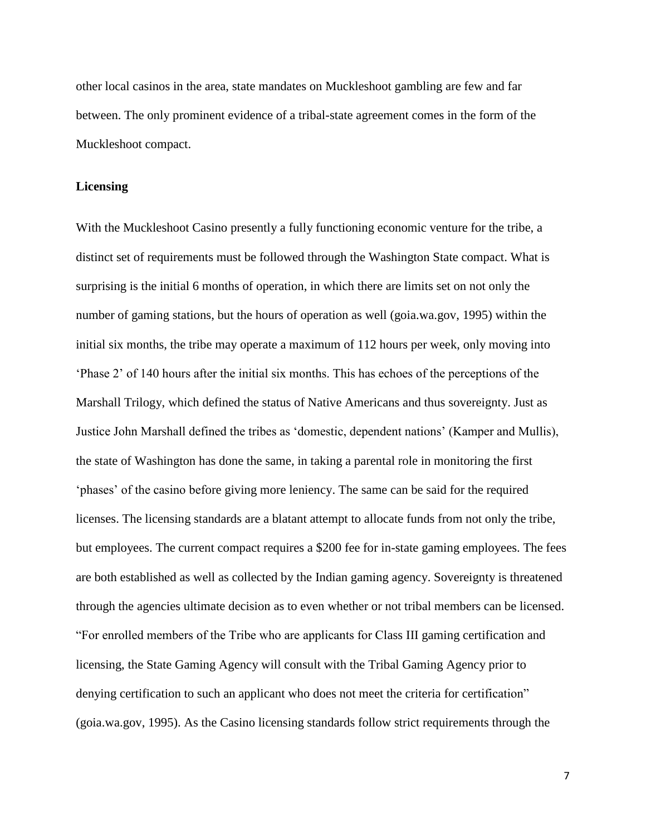other local casinos in the area, state mandates on Muckleshoot gambling are few and far between. The only prominent evidence of a tribal-state agreement comes in the form of the Muckleshoot compact.

### **Licensing**

With the Muckleshoot Casino presently a fully functioning economic venture for the tribe, a distinct set of requirements must be followed through the Washington State compact. What is surprising is the initial 6 months of operation, in which there are limits set on not only the number of gaming stations, but the hours of operation as well (goia.wa.gov, 1995) within the initial six months, the tribe may operate a maximum of 112 hours per week, only moving into "Phase 2" of 140 hours after the initial six months. This has echoes of the perceptions of the Marshall Trilogy, which defined the status of Native Americans and thus sovereignty. Just as Justice John Marshall defined the tribes as "domestic, dependent nations" (Kamper and Mullis), the state of Washington has done the same, in taking a parental role in monitoring the first "phases" of the casino before giving more leniency. The same can be said for the required licenses. The licensing standards are a blatant attempt to allocate funds from not only the tribe, but employees. The current compact requires a \$200 fee for in-state gaming employees. The fees are both established as well as collected by the Indian gaming agency. Sovereignty is threatened through the agencies ultimate decision as to even whether or not tribal members can be licensed. "For enrolled members of the Tribe who are applicants for Class III gaming certification and licensing, the State Gaming Agency will consult with the Tribal Gaming Agency prior to denying certification to such an applicant who does not meet the criteria for certification" (goia.wa.gov, 1995). As the Casino licensing standards follow strict requirements through the

7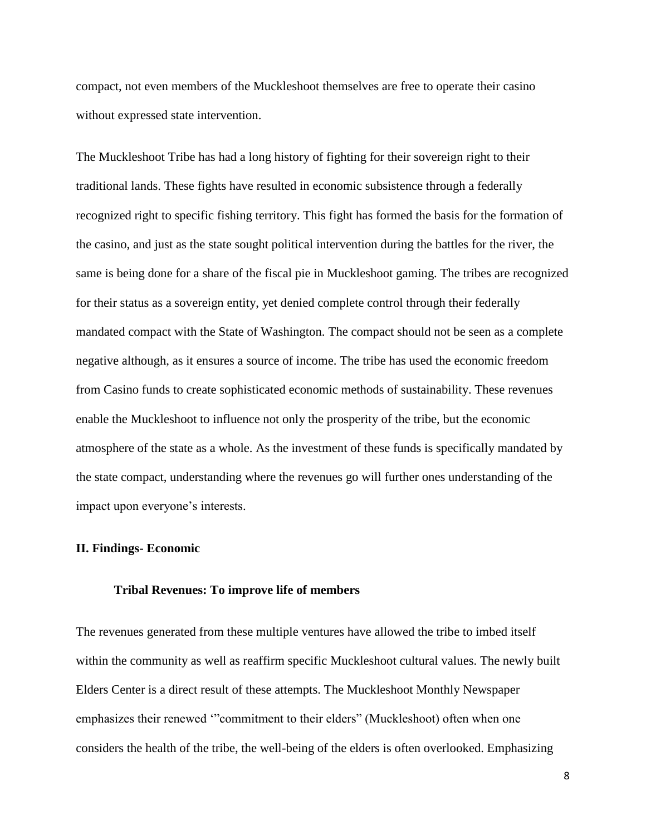compact, not even members of the Muckleshoot themselves are free to operate their casino without expressed state intervention.

The Muckleshoot Tribe has had a long history of fighting for their sovereign right to their traditional lands. These fights have resulted in economic subsistence through a federally recognized right to specific fishing territory. This fight has formed the basis for the formation of the casino, and just as the state sought political intervention during the battles for the river, the same is being done for a share of the fiscal pie in Muckleshoot gaming. The tribes are recognized for their status as a sovereign entity, yet denied complete control through their federally mandated compact with the State of Washington. The compact should not be seen as a complete negative although, as it ensures a source of income. The tribe has used the economic freedom from Casino funds to create sophisticated economic methods of sustainability. These revenues enable the Muckleshoot to influence not only the prosperity of the tribe, but the economic atmosphere of the state as a whole. As the investment of these funds is specifically mandated by the state compact, understanding where the revenues go will further ones understanding of the impact upon everyone's interests.

# **II. Findings- Economic**

#### **Tribal Revenues: To improve life of members**

The revenues generated from these multiple ventures have allowed the tribe to imbed itself within the community as well as reaffirm specific Muckleshoot cultural values. The newly built Elders Center is a direct result of these attempts. The Muckleshoot Monthly Newspaper emphasizes their renewed ""commitment to their elders" (Muckleshoot) often when one considers the health of the tribe, the well-being of the elders is often overlooked. Emphasizing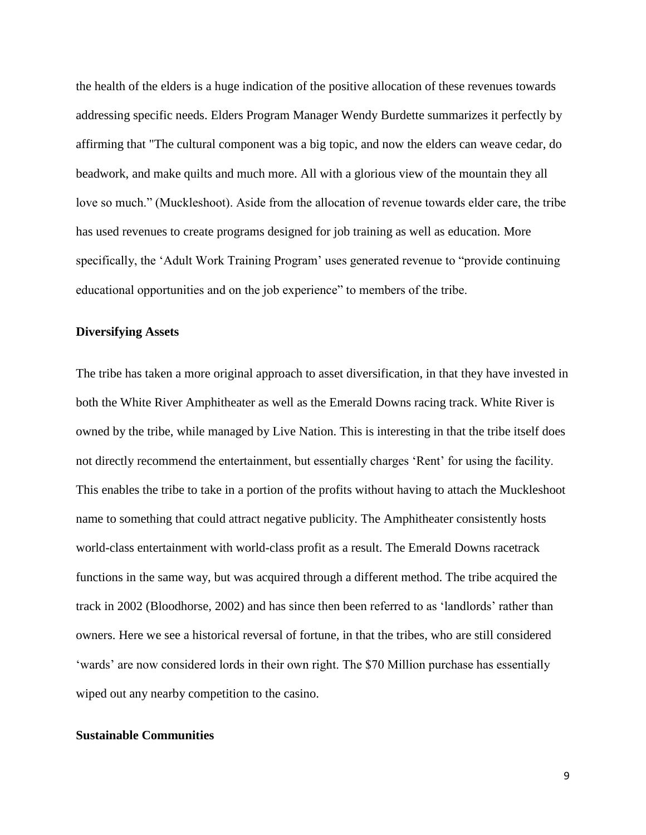the health of the elders is a huge indication of the positive allocation of these revenues towards addressing specific needs. Elders Program Manager Wendy Burdette summarizes it perfectly by affirming that "The cultural component was a big topic, and now the elders can weave cedar, do beadwork, and make quilts and much more. All with a glorious view of the mountain they all love so much." (Muckleshoot). Aside from the allocation of revenue towards elder care, the tribe has used revenues to create programs designed for job training as well as education. More specifically, the 'Adult Work Training Program' uses generated revenue to "provide continuing educational opportunities and on the job experience" to members of the tribe.

### **Diversifying Assets**

The tribe has taken a more original approach to asset diversification, in that they have invested in both the White River Amphitheater as well as the Emerald Downs racing track. White River is owned by the tribe, while managed by Live Nation. This is interesting in that the tribe itself does not directly recommend the entertainment, but essentially charges "Rent" for using the facility. This enables the tribe to take in a portion of the profits without having to attach the Muckleshoot name to something that could attract negative publicity. The Amphitheater consistently hosts world-class entertainment with world-class profit as a result. The Emerald Downs racetrack functions in the same way, but was acquired through a different method. The tribe acquired the track in 2002 (Bloodhorse, 2002) and has since then been referred to as "landlords" rather than owners. Here we see a historical reversal of fortune, in that the tribes, who are still considered "wards" are now considered lords in their own right. The \$70 Million purchase has essentially wiped out any nearby competition to the casino.

### **Sustainable Communities**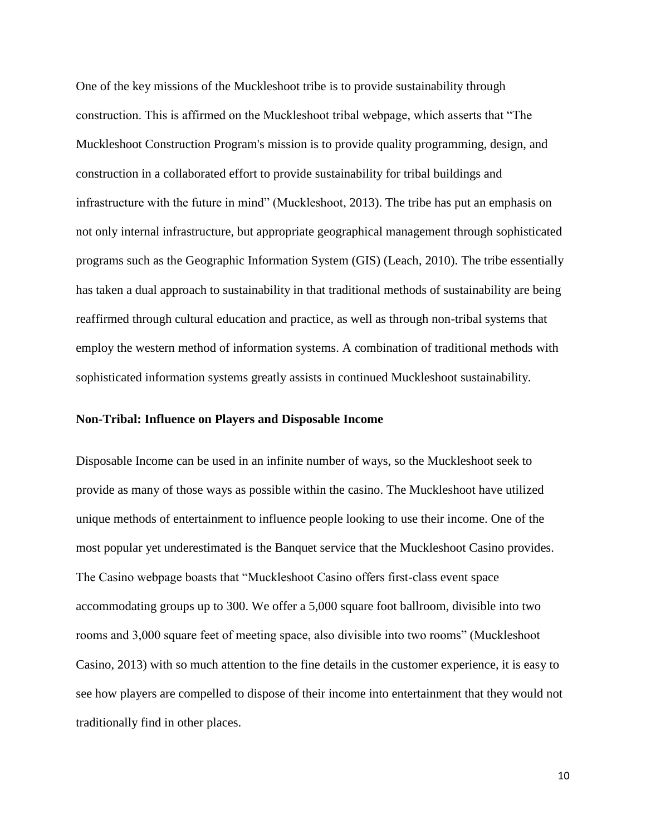One of the key missions of the Muckleshoot tribe is to provide sustainability through construction. This is affirmed on the Muckleshoot tribal webpage, which asserts that "The Muckleshoot Construction Program's mission is to provide quality programming, design, and construction in a collaborated effort to provide sustainability for tribal buildings and infrastructure with the future in mind" (Muckleshoot, 2013). The tribe has put an emphasis on not only internal infrastructure, but appropriate geographical management through sophisticated programs such as the Geographic Information System (GIS) (Leach, 2010). The tribe essentially has taken a dual approach to sustainability in that traditional methods of sustainability are being reaffirmed through cultural education and practice, as well as through non-tribal systems that employ the western method of information systems. A combination of traditional methods with sophisticated information systems greatly assists in continued Muckleshoot sustainability.

### **Non-Tribal: Influence on Players and Disposable Income**

Disposable Income can be used in an infinite number of ways, so the Muckleshoot seek to provide as many of those ways as possible within the casino. The Muckleshoot have utilized unique methods of entertainment to influence people looking to use their income. One of the most popular yet underestimated is the Banquet service that the Muckleshoot Casino provides. The Casino webpage boasts that "Muckleshoot Casino offers first-class event space accommodating groups up to 300. We offer a 5,000 square foot ballroom, divisible into two rooms and 3,000 square feet of meeting space, also divisible into two rooms" (Muckleshoot Casino, 2013) with so much attention to the fine details in the customer experience, it is easy to see how players are compelled to dispose of their income into entertainment that they would not traditionally find in other places.

10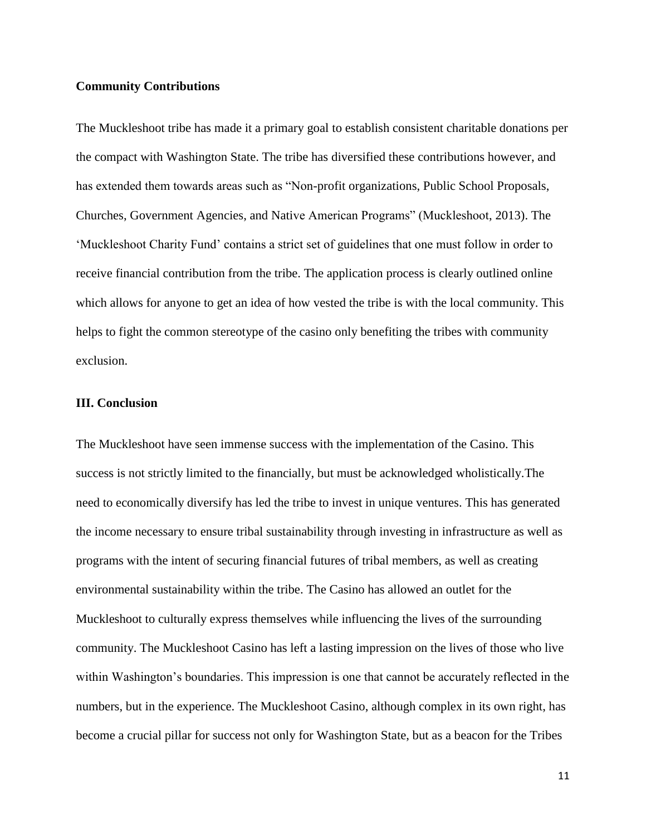## **Community Contributions**

The Muckleshoot tribe has made it a primary goal to establish consistent charitable donations per the compact with Washington State. The tribe has diversified these contributions however, and has extended them towards areas such as "Non-profit organizations, Public School Proposals, Churches, Government Agencies, and Native American Programs" (Muckleshoot, 2013). The "Muckleshoot Charity Fund" contains a strict set of guidelines that one must follow in order to receive financial contribution from the tribe. The application process is clearly outlined online which allows for anyone to get an idea of how vested the tribe is with the local community. This helps to fight the common stereotype of the casino only benefiting the tribes with community exclusion.

## **III. Conclusion**

The Muckleshoot have seen immense success with the implementation of the Casino. This success is not strictly limited to the financially, but must be acknowledged wholistically.The need to economically diversify has led the tribe to invest in unique ventures. This has generated the income necessary to ensure tribal sustainability through investing in infrastructure as well as programs with the intent of securing financial futures of tribal members, as well as creating environmental sustainability within the tribe. The Casino has allowed an outlet for the Muckleshoot to culturally express themselves while influencing the lives of the surrounding community. The Muckleshoot Casino has left a lasting impression on the lives of those who live within Washington's boundaries. This impression is one that cannot be accurately reflected in the numbers, but in the experience. The Muckleshoot Casino, although complex in its own right, has become a crucial pillar for success not only for Washington State, but as a beacon for the Tribes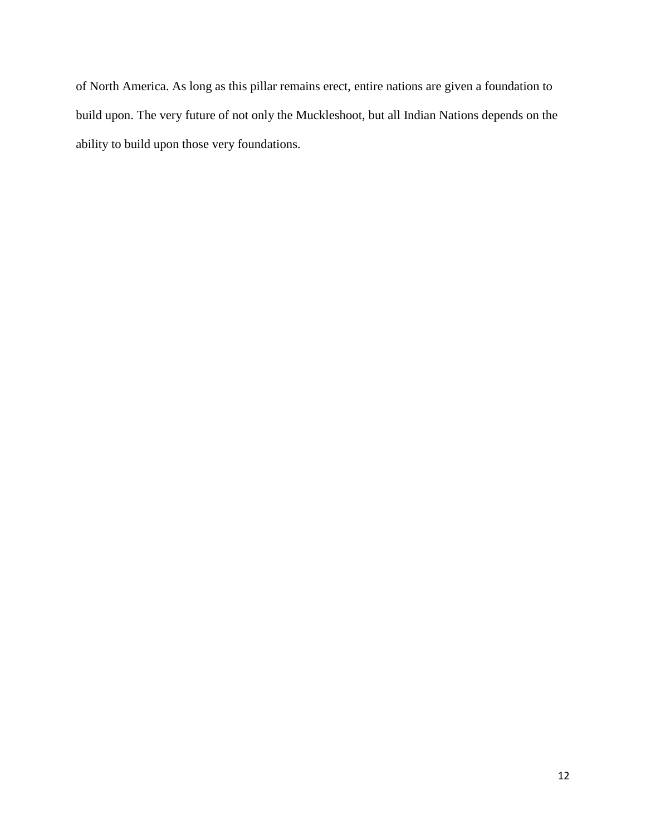of North America. As long as this pillar remains erect, entire nations are given a foundation to build upon. The very future of not only the Muckleshoot, but all Indian Nations depends on the ability to build upon those very foundations.